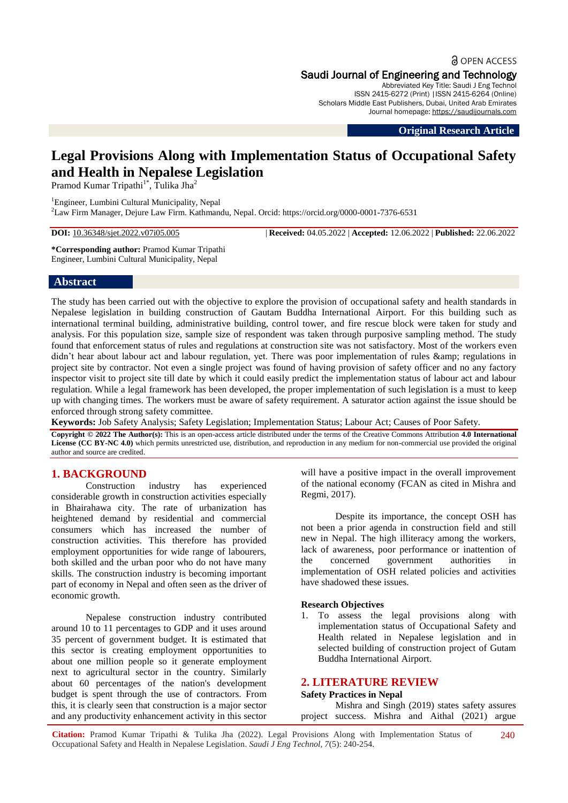**a** OPEN ACCESS Saudi Journal of Engineering and Technology Abbreviated Key Title: Saudi J Eng Technol ISSN 2415-6272 (Print) |ISSN 2415-6264 (Online)

Scholars Middle East Publishers, Dubai, United Arab Emirates Journal homepage: [https://saudijournals.com](https://saudijournals.com/sjeat)

**Original Research Article**

# **Legal Provisions Along with Implementation Status of Occupational Safety and Health in Nepalese Legislation**

Pramod Kumar Tripathi<sup>1\*</sup>, Tulika Jha<sup>2</sup>

<sup>1</sup>Engineer, Lumbini Cultural Municipality, Nepal <sup>2</sup>Law Firm Manager, Dejure Law Firm. Kathmandu, Nepal. Orcid: https://orcid.org/0000-0001-7376-6531

**DOI:** 10.36348/sjet.2022.v07i05.005 | **Received:** 04.05.2022 | **Accepted:** 12.06.2022 | **Published:** 22.06.2022

**\*Corresponding author:** Pramod Kumar Tripathi Engineer, Lumbini Cultural Municipality, Nepal

## **Abstract**

The study has been carried out with the objective to explore the provision of occupational safety and health standards in Nepalese legislation in building construction of Gautam Buddha International Airport. For this building such as international terminal building, administrative building, control tower, and fire rescue block were taken for study and analysis. For this population size, sample size of respondent was taken through purposive sampling method. The study found that enforcement status of rules and regulations at construction site was not satisfactory. Most of the workers even didn't hear about labour act and labour regulation, yet. There was poor implementation of rules & amp; regulations in project site by contractor. Not even a single project was found of having provision of safety officer and no any factory inspector visit to project site till date by which it could easily predict the implementation status of labour act and labour regulation. While a legal framework has been developed, the proper implementation of such legislation is a must to keep up with changing times. The workers must be aware of safety requirement. A saturator action against the issue should be enforced through strong safety committee.

**Keywords:** Job Safety Analysis; Safety Legislation; Implementation Status; Labour Act; Causes of Poor Safety.

**Copyright © 2022 The Author(s):** This is an open-access article distributed under the terms of the Creative Commons Attribution **4.0 International License (CC BY-NC 4.0)** which permits unrestricted use, distribution, and reproduction in any medium for non-commercial use provided the original author and source are credited.

# **1. BACKGROUND**

Construction industry has experienced considerable growth in construction activities especially in Bhairahawa city. The rate of urbanization has heightened demand by residential and commercial consumers which has increased the number of construction activities. This therefore has provided employment opportunities for wide range of labourers, both skilled and the urban poor who do not have many skills. The construction industry is becoming important part of economy in Nepal and often seen as the driver of economic growth.

Nepalese construction industry contributed around 10 to 11 percentages to GDP and it uses around 35 percent of government budget. It is estimated that this sector is creating employment opportunities to about one million people so it generate employment next to agricultural sector in the country. Similarly about 60 percentages of the nation's development budget is spent through the use of contractors. From this, it is clearly seen that construction is a major sector and any productivity enhancement activity in this sector will have a positive impact in the overall improvement of the national economy (FCAN as cited in Mishra and Regmi, 2017).

Despite its importance, the concept OSH has not been a prior agenda in construction field and still new in Nepal. The high illiteracy among the workers, lack of awareness, poor performance or inattention of<br>the concerned government authorities in the concerned government authorities in implementation of OSH related policies and activities have shadowed these issues.

### **Research Objectives**

1. To assess the legal provisions along with implementation status of Occupational Safety and Health related in Nepalese legislation and in selected building of construction project of Gutam Buddha International Airport.

# **2. LITERATURE REVIEW**

### **Safety Practices in Nepal**

Mishra and Singh (2019) states safety assures project success. Mishra and Aithal (2021) argue

**Citation:** Pramod Kumar Tripathi & Tulika Jha (2022). Legal Provisions Along with Implementation Status of Occupational Safety and Health in Nepalese Legislation. *Saudi J Eng Technol, 7*(5): 240-254. 240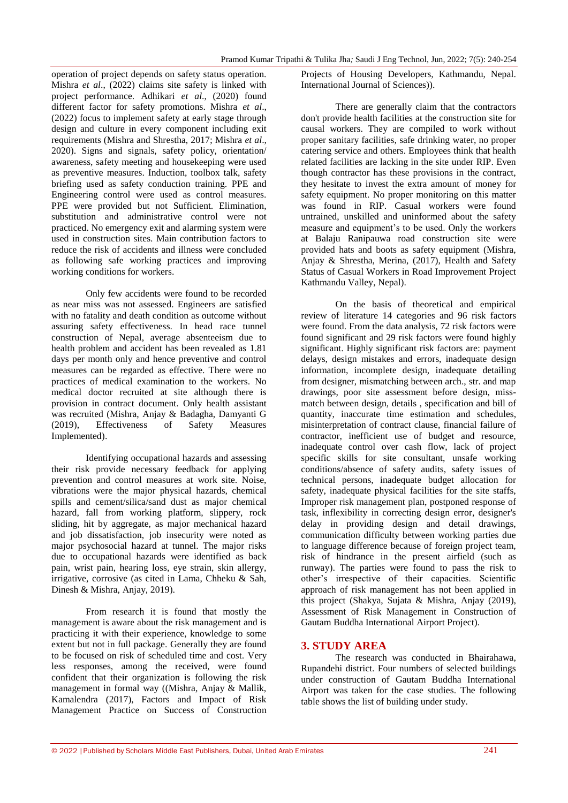operation of project depends on safety status operation. Mishra *et al*., (2022) claims site safety is linked with project performance. Adhikari *et al*., (2020) found different factor for safety promotions. Mishra *et al*., (2022) focus to implement safety at early stage through design and culture in every component including exit requirements (Mishra and Shrestha, 2017; Mishra *et al*., 2020). Signs and signals, safety policy, orientation/ awareness, safety meeting and housekeeping were used as preventive measures. Induction, toolbox talk, safety briefing used as safety conduction training. PPE and Engineering control were used as control measures. PPE were provided but not Sufficient. Elimination, substitution and administrative control were not practiced. No emergency exit and alarming system were used in construction sites. Main contribution factors to reduce the risk of accidents and illness were concluded as following safe working practices and improving working conditions for workers.

Only few accidents were found to be recorded as near miss was not assessed. Engineers are satisfied with no fatality and death condition as outcome without assuring safety effectiveness. In head race tunnel construction of Nepal, average absenteeism due to health problem and accident has been revealed as 1.81 days per month only and hence preventive and control measures can be regarded as effective. There were no practices of medical examination to the workers. No medical doctor recruited at site although there is provision in contract document. Only health assistant was recruited (Mishra, Anjay & Badagha, Damyanti G (2019), Effectiveness of Safety Measures Implemented).

Identifying occupational hazards and assessing their risk provide necessary feedback for applying prevention and control measures at work site. Noise, vibrations were the major physical hazards, chemical spills and cement/silica/sand dust as major chemical hazard, fall from working platform, slippery, rock sliding, hit by aggregate, as major mechanical hazard and job dissatisfaction, job insecurity were noted as major psychosocial hazard at tunnel. The major risks due to occupational hazards were identified as back pain, wrist pain, hearing loss, eye strain, skin allergy, irrigative, corrosive (as cited in Lama, Chheku & Sah, Dinesh & Mishra, Anjay, 2019).

From research it is found that mostly the management is aware about the risk management and is practicing it with their experience, knowledge to some extent but not in full package. Generally they are found to be focused on risk of scheduled time and cost. Very less responses, among the received, were found confident that their organization is following the risk management in formal way ((Mishra, Anjay & Mallik, Kamalendra (2017), Factors and Impact of Risk Management Practice on Success of Construction

Projects of Housing Developers, Kathmandu, Nepal. International Journal of Sciences)).

There are generally claim that the contractors don't provide health facilities at the construction site for causal workers. They are compiled to work without proper sanitary facilities, safe drinking water, no proper catering service and others. Employees think that health related facilities are lacking in the site under RIP. Even though contractor has these provisions in the contract, they hesitate to invest the extra amount of money for safety equipment. No proper monitoring on this matter was found in RIP. Casual workers were found untrained, unskilled and uninformed about the safety measure and equipment's to be used. Only the workers at Balaju Ranipauwa road construction site were provided hats and boots as safety equipment (Mishra, Anjay & Shrestha, Merina, (2017), Health and Safety Status of Casual Workers in Road Improvement Project Kathmandu Valley, Nepal).

On the basis of theoretical and empirical review of literature 14 categories and 96 risk factors were found. From the data analysis, 72 risk factors were found significant and 29 risk factors were found highly significant. Highly significant risk factors are: payment delays, design mistakes and errors, inadequate design information, incomplete design, inadequate detailing from designer, mismatching between arch., str. and map drawings, poor site assessment before design, missmatch between design, details , specification and bill of quantity, inaccurate time estimation and schedules, misinterpretation of contract clause, financial failure of contractor, inefficient use of budget and resource, inadequate control over cash flow, lack of project specific skills for site consultant, unsafe working conditions/absence of safety audits, safety issues of technical persons, inadequate budget allocation for safety, inadequate physical facilities for the site staffs, Improper risk management plan, postponed response of task, inflexibility in correcting design error, designer's delay in providing design and detail drawings, communication difficulty between working parties due to language difference because of foreign project team, risk of hindrance in the present airfield (such as runway). The parties were found to pass the risk to other's irrespective of their capacities. Scientific approach of risk management has not been applied in this project (Shakya, Sujata & Mishra, Anjay (2019), Assessment of Risk Management in Construction of Gautam Buddha International Airport Project).

# **3. STUDY AREA**

The research was conducted in Bhairahawa, Rupandehi district. Four numbers of selected buildings under construction of Gautam Buddha International Airport was taken for the case studies. The following table shows the list of building under study.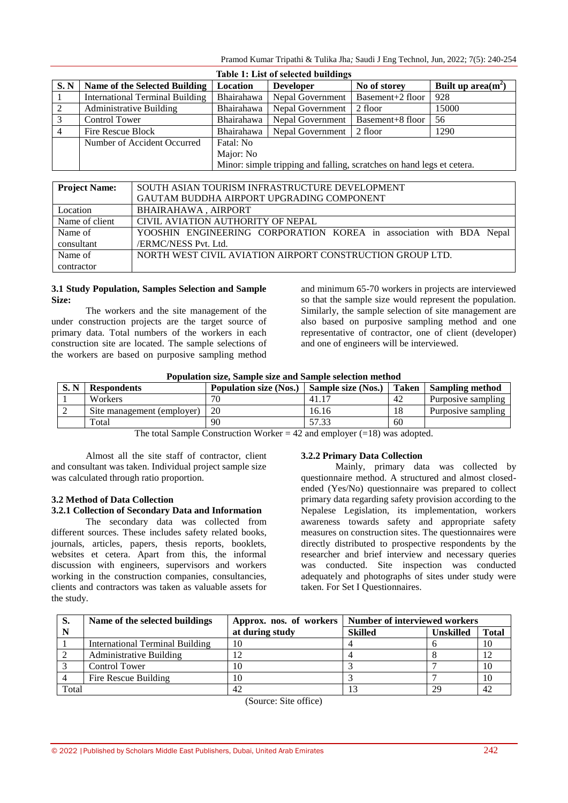Pramod Kumar Tripathi & Tulika Jha*;* Saudi J Eng Technol, Jun, 2022; 7(5): 240-254

| Table 1: List of selected buildings |                                        |                                                                       |                  |                  |                       |  |  |
|-------------------------------------|----------------------------------------|-----------------------------------------------------------------------|------------------|------------------|-----------------------|--|--|
| S. N                                | Name of the Selected Building          | Location                                                              | <b>Developer</b> | No of storey     | Built up area $(m^2)$ |  |  |
|                                     | <b>International Terminal Building</b> | Bhairahawa                                                            | Nepal Government | Basement+2 floor | 928                   |  |  |
| 2                                   | <b>Administrative Building</b>         | Bhairahawa                                                            | Nepal Government | 2 floor          | 15000                 |  |  |
| 3                                   | <b>Control Tower</b>                   | Bhairahawa                                                            | Nepal Government | Basement+8 floor | 56                    |  |  |
|                                     | Fire Rescue Block                      | Bhairahawa                                                            | Nepal Government | 2 floor          | 1290                  |  |  |
|                                     | Number of Accident Occurred            | Fatal: No                                                             |                  |                  |                       |  |  |
|                                     |                                        | Major: No                                                             |                  |                  |                       |  |  |
|                                     |                                        | Minor: simple tripping and falling, scratches on hand legs et cetera. |                  |                  |                       |  |  |

| <b>Project Name:</b> | SOUTH ASIAN TOURISM INFRASTRUCTURE DEVELOPMENT                      |  |  |  |  |  |  |  |
|----------------------|---------------------------------------------------------------------|--|--|--|--|--|--|--|
|                      | GAUTAM BUDDHA AIRPORT UPGRADING COMPONENT                           |  |  |  |  |  |  |  |
| Location             | BHAIRAHAWA, AIRPORT                                                 |  |  |  |  |  |  |  |
| Name of client       | CIVIL AVIATION AUTHORITY OF NEPAL                                   |  |  |  |  |  |  |  |
| Name of              | YOOSHIN ENGINEERING CORPORATION KOREA in association with BDA Nepal |  |  |  |  |  |  |  |
| consultant           | /ERMC/NESS Pvt. Ltd.                                                |  |  |  |  |  |  |  |
| Name of              | NORTH WEST CIVIL AVIATION AIRPORT CONSTRUCTION GROUP LTD.           |  |  |  |  |  |  |  |
| contractor           |                                                                     |  |  |  |  |  |  |  |

### **3.1 Study Population, Samples Selection and Sample Size:**

The workers and the site management of the under construction projects are the target source of primary data. Total numbers of the workers in each construction site are located. The sample selections of the workers are based on purposive sampling method and minimum 65-70 workers in projects are interviewed so that the sample size would represent the population. Similarly, the sample selection of site management are also based on purposive sampling method and one representative of contractor, one of client (developer) and one of engineers will be interviewed.

|      | Population size, Sample size and Sample selection method |                               |                    |    |                       |  |  |  |
|------|----------------------------------------------------------|-------------------------------|--------------------|----|-----------------------|--|--|--|
| S. N | <b>Respondents</b>                                       | <b>Population size (Nos.)</b> | Sample size (Nos.) |    | Taken Sampling method |  |  |  |
|      | <b>Workers</b>                                           | 70                            | 41.17              | 42 | Purposive sampling    |  |  |  |
|      | Site management (employer)                               | 20                            | 16.16              | 18 | Purposive sampling    |  |  |  |
|      | Total                                                    | 90                            | 57.33              | 60 |                       |  |  |  |

**Population size, Sample size and Sample selection method**

The total Sample Construction Worker  $= 42$  and employer  $(=18)$  was adopted.

Almost all the site staff of contractor, client and consultant was taken. Individual project sample size was calculated through ratio proportion.

# **3.2 Method of Data Collection**

## **3.2.1 Collection of Secondary Data and Information**

The secondary data was collected from different sources. These includes safety related books, journals, articles, papers, thesis reports, booklets, websites et cetera. Apart from this, the informal discussion with engineers, supervisors and workers working in the construction companies, consultancies, clients and contractors was taken as valuable assets for the study.

### **3.2.2 Primary Data Collection**

Mainly, primary data was collected by questionnaire method. A structured and almost closedended (Yes/No) questionnaire was prepared to collect primary data regarding safety provision according to the Nepalese Legislation, its implementation, workers awareness towards safety and appropriate safety measures on construction sites. The questionnaires were directly distributed to prospective respondents by the researcher and brief interview and necessary queries was conducted. Site inspection was conducted adequately and photographs of sites under study were taken. For Set I Questionnaires.

| S.    | Name of the selected buildings         |                 | Approx. nos. of workers   Number of interviewed workers |                  |              |  |
|-------|----------------------------------------|-----------------|---------------------------------------------------------|------------------|--------------|--|
|       |                                        | at during study | <b>Skilled</b>                                          | <b>Unskilled</b> | <b>Total</b> |  |
|       | <b>International Terminal Building</b> | 10              |                                                         |                  | 10           |  |
|       | <b>Administrative Building</b>         |                 |                                                         |                  |              |  |
|       | Control Tower                          | 10              |                                                         |                  | 10           |  |
|       | Fire Rescue Building                   | 10              |                                                         |                  | 10           |  |
| Total |                                        | 42              |                                                         | 29               | 42           |  |

(Source: Site office)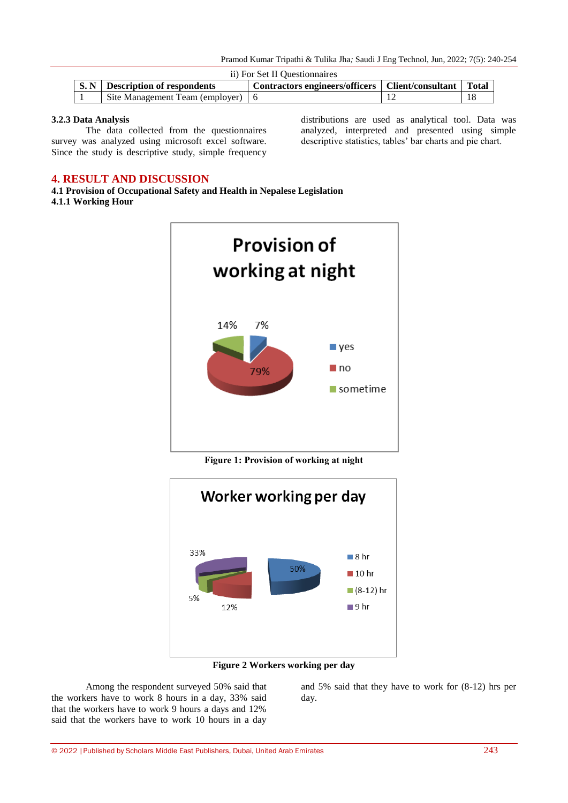|      | ii) For Set II Ouestionnaires                                                                           |  |  |    |  |  |  |  |
|------|---------------------------------------------------------------------------------------------------------|--|--|----|--|--|--|--|
| S. N | <b>Total</b><br><b>Description of respondents</b><br>Contractors engineers/officers   Client/consultant |  |  |    |  |  |  |  |
|      | Site Management Team (employer)   6                                                                     |  |  | 18 |  |  |  |  |

### **3.2.3 Data Analysis**

The data collected from the questionnaires survey was analyzed using microsoft excel software. Since the study is descriptive study, simple frequency distributions are used as analytical tool. Data was analyzed, interpreted and presented using simple descriptive statistics, tables' bar charts and pie chart.

# **4. RESULT AND DISCUSSION**

**4.1 Provision of Occupational Safety and Health in Nepalese Legislation 4.1.1 Working Hour**



**Figure 1: Provision of working at night**



**Figure 2 Workers working per day**

Among the respondent surveyed 50% said that the workers have to work 8 hours in a day, 33% said that the workers have to work 9 hours a days and 12% said that the workers have to work 10 hours in a day

and 5% said that they have to work for (8-12) hrs per day.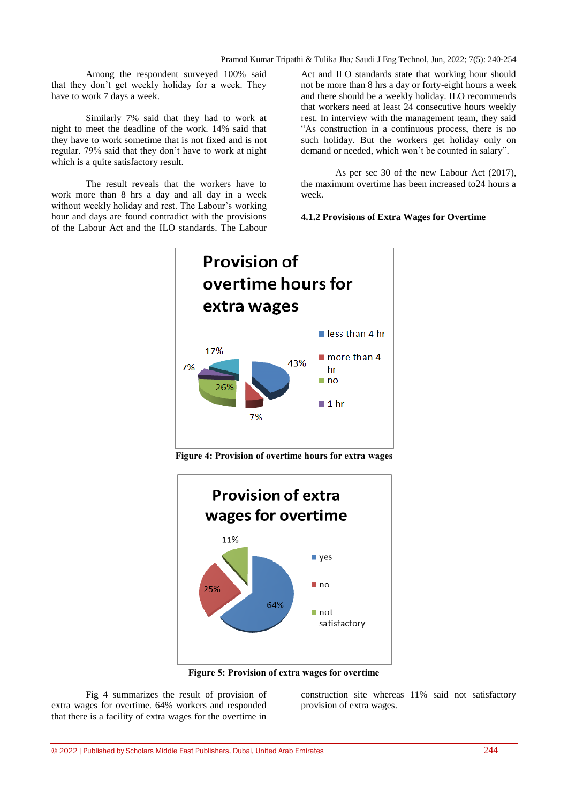Among the respondent surveyed 100% said that they don't get weekly holiday for a week. They have to work 7 days a week.

Similarly 7% said that they had to work at night to meet the deadline of the work. 14% said that they have to work sometime that is not fixed and is not regular. 79% said that they don't have to work at night which is a quite satisfactory result.

The result reveals that the workers have to work more than 8 hrs a day and all day in a week without weekly holiday and rest. The Labour's working hour and days are found contradict with the provisions of the Labour Act and the ILO standards. The Labour Act and ILO standards state that working hour should not be more than 8 hrs a day or forty-eight hours a week and there should be a weekly holiday. ILO recommends that workers need at least 24 consecutive hours weekly rest. In interview with the management team, they said "As construction in a continuous process, there is no such holiday. But the workers get holiday only on demand or needed, which won't be counted in salary".

As per sec 30 of the new Labour Act (2017), the maximum overtime has been increased to24 hours a week.

## **4.1.2 Provisions of Extra Wages for Overtime**



**Figure 4: Provision of overtime hours for extra wages**



**Figure 5: Provision of extra wages for overtime**

Fig 4 summarizes the result of provision of extra wages for overtime. 64% workers and responded that there is a facility of extra wages for the overtime in construction site whereas 11% said not satisfactory provision of extra wages.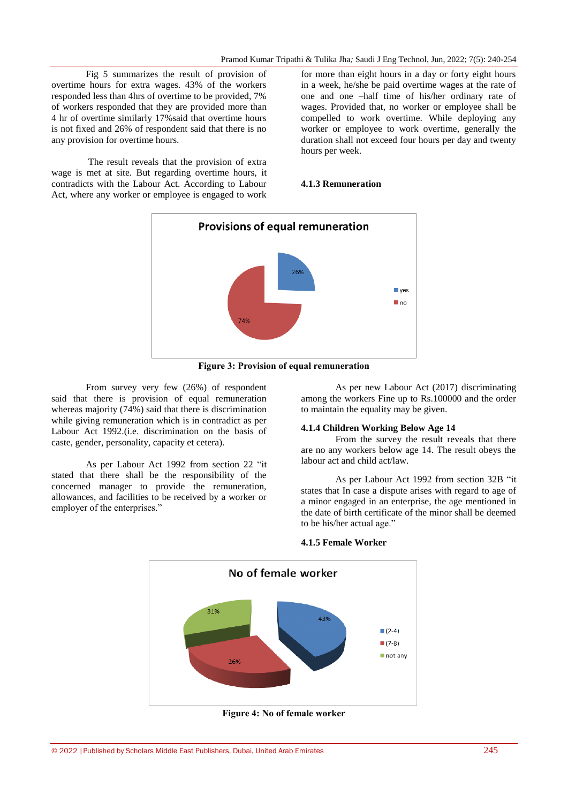Fig 5 summarizes the result of provision of overtime hours for extra wages. 43% of the workers responded less than 4hrs of overtime to be provided, 7% of workers responded that they are provided more than 4 hr of overtime similarly 17%said that overtime hours is not fixed and 26% of respondent said that there is no any provision for overtime hours.

The result reveals that the provision of extra wage is met at site. But regarding overtime hours, it contradicts with the Labour Act. According to Labour Act, where any worker or employee is engaged to work for more than eight hours in a day or forty eight hours in a week, he/she be paid overtime wages at the rate of one and one –half time of his/her ordinary rate of wages. Provided that, no worker or employee shall be compelled to work overtime. While deploying any worker or employee to work overtime, generally the duration shall not exceed four hours per day and twenty hours per week.

### **4.1.3 Remuneration**



**Figure 3: Provision of equal remuneration**

From survey very few (26%) of respondent said that there is provision of equal remuneration whereas majority (74%) said that there is discrimination while giving remuneration which is in contradict as per Labour Act 1992.(i.e. discrimination on the basis of caste, gender, personality, capacity et cetera).

As per Labour Act 1992 from section 22 "it stated that there shall be the responsibility of the concerned manager to provide the remuneration, allowances, and facilities to be received by a worker or employer of the enterprises."

As per new Labour Act (2017) discriminating among the workers Fine up to Rs.100000 and the order to maintain the equality may be given.

#### **4.1.4 Children Working Below Age 14**

From the survey the result reveals that there are no any workers below age 14. The result obeys the labour act and child act/law.

As per Labour Act 1992 from section 32B "it states that In case a dispute arises with regard to age of a minor engaged in an enterprise, the age mentioned in the date of birth certificate of the minor shall be deemed to be his/her actual age."



#### **4.1.5 Female Worker**

**Figure 4: No of female worker**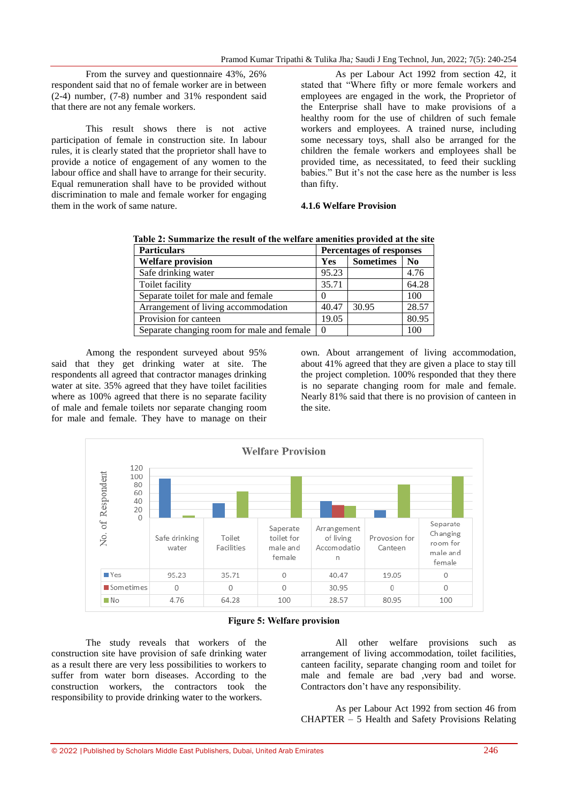From the survey and questionnaire 43%, 26% respondent said that no of female worker are in between (2-4) number, (7-8) number and 31% respondent said that there are not any female workers.

This result shows there is not active participation of female in construction site. In labour rules, it is clearly stated that the proprietor shall have to provide a notice of engagement of any women to the labour office and shall have to arrange for their security. Equal remuneration shall have to be provided without discrimination to male and female worker for engaging them in the work of same nature.

As per Labour Act 1992 from section 42, it stated that "Where fifty or more female workers and employees are engaged in the work, the Proprietor of the Enterprise shall have to make provisions of a healthy room for the use of children of such female workers and employees. A trained nurse, including some necessary toys, shall also be arranged for the children the female workers and employees shall be provided time, as necessitated, to feed their suckling babies." But it's not the case here as the number is less than fifty.

**4.1.6 Welfare Provision**

|  |  |  | Table 2: Summarize the result of the welfare amenities provided at the site |  |  |
|--|--|--|-----------------------------------------------------------------------------|--|--|
|  |  |  |                                                                             |  |  |

| <b>Particulars</b>                         | <b>Percentages of responses</b> |                  |                |  |
|--------------------------------------------|---------------------------------|------------------|----------------|--|
| <b>Welfare provision</b>                   | <b>Yes</b>                      | <b>Sometimes</b> | N <sub>0</sub> |  |
| Safe drinking water                        | 95.23                           |                  | 4.76           |  |
| Toilet facility                            | 35.71                           |                  | 64.28          |  |
| Separate toilet for male and female        |                                 |                  | 100            |  |
| Arrangement of living accommodation        | 40.47                           | 30.95            | 28.57          |  |
| Provision for canteen                      | 19.05                           |                  | 80.95          |  |
| Separate changing room for male and female |                                 |                  | 100            |  |

Among the respondent surveyed about 95% said that they get drinking water at site. The respondents all agreed that contractor manages drinking water at site. 35% agreed that they have toilet facilities where as 100% agreed that there is no separate facility of male and female toilets nor separate changing room for male and female. They have to manage on their own. About arrangement of living accommodation, about 41% agreed that they are given a place to stay till the project completion. 100% responded that they there is no separate changing room for male and female. Nearly 81% said that there is no provision of canteen in the site.



**Figure 5: Welfare provision**

The study reveals that workers of the construction site have provision of safe drinking water as a result there are very less possibilities to workers to suffer from water born diseases. According to the construction workers, the contractors took the responsibility to provide drinking water to the workers.

All other welfare provisions such as arrangement of living accommodation, toilet facilities, canteen facility, separate changing room and toilet for male and female are bad ,very bad and worse. Contractors don't have any responsibility.

As per Labour Act 1992 from section 46 from CHAPTER – 5 Health and Safety Provisions Relating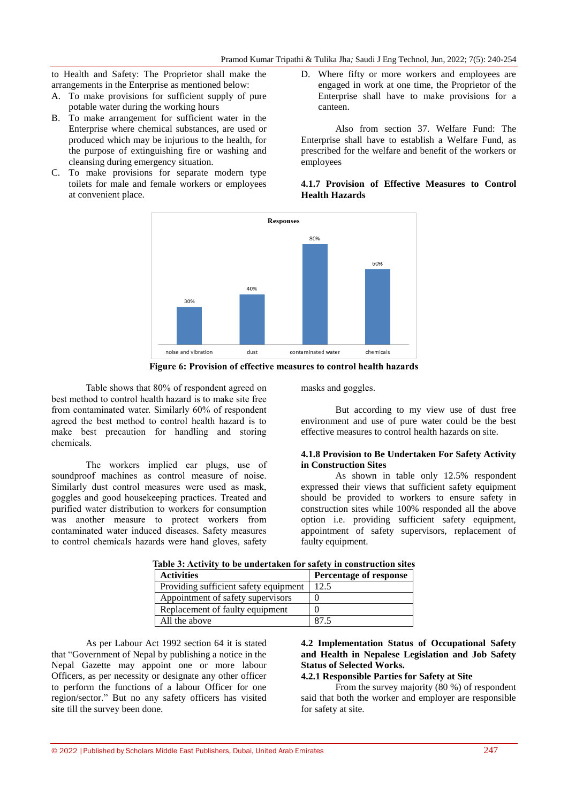to Health and Safety: The Proprietor shall make the arrangements in the Enterprise as mentioned below:

- A. To make provisions for sufficient supply of pure potable water during the working hours
- B. To make arrangement for sufficient water in the Enterprise where chemical substances, are used or produced which may be injurious to the health, for the purpose of extinguishing fire or washing and cleansing during emergency situation.
- C. To make provisions for separate modern type toilets for male and female workers or employees at convenient place.
- D. Where fifty or more workers and employees are engaged in work at one time, the Proprietor of the Enterprise shall have to make provisions for a canteen.

Also from section 37. Welfare Fund: The Enterprise shall have to establish a Welfare Fund, as prescribed for the welfare and benefit of the workers or employees

# **4.1.7 Provision of Effective Measures to Control Health Hazards**



**Figure 6: Provision of effective measures to control health hazards**

Table shows that 80% of respondent agreed on best method to control health hazard is to make site free from contaminated water. Similarly 60% of respondent agreed the best method to control health hazard is to make best precaution for handling and storing chemicals.

The workers implied ear plugs, use of soundproof machines as control measure of noise. Similarly dust control measures were used as mask, goggles and good housekeeping practices. Treated and purified water distribution to workers for consumption was another measure to protect workers from contaminated water induced diseases. Safety measures to control chemicals hazards were hand gloves, safety

masks and goggles.

But according to my view use of dust free environment and use of pure water could be the best effective measures to control health hazards on site.

### **4.1.8 Provision to Be Undertaken For Safety Activity in Construction Sites**

As shown in table only 12.5% respondent expressed their views that sufficient safety equipment should be provided to workers to ensure safety in construction sites while 100% responded all the above option i.e. providing sufficient safety equipment, appointment of safety supervisors, replacement of faulty equipment.

| <b>Activities</b>                     | Percentage of response |
|---------------------------------------|------------------------|
| Providing sufficient safety equipment | 125                    |
| Appointment of safety supervisors     |                        |
| Replacement of faulty equipment       |                        |
| All the above                         |                        |

**Table 3: Activity to be undertaken for safety in construction sites**

As per Labour Act 1992 section 64 it is stated that "Government of Nepal by publishing a notice in the Nepal Gazette may appoint one or more labour Officers, as per necessity or designate any other officer to perform the functions of a labour Officer for one region/sector." But no any safety officers has visited site till the survey been done.

# **4.2 Implementation Status of Occupational Safety and Health in Nepalese Legislation and Job Safety Status of Selected Works.**

# **4.2.1 Responsible Parties for Safety at Site**

From the survey majority (80 %) of respondent said that both the worker and employer are responsible for safety at site.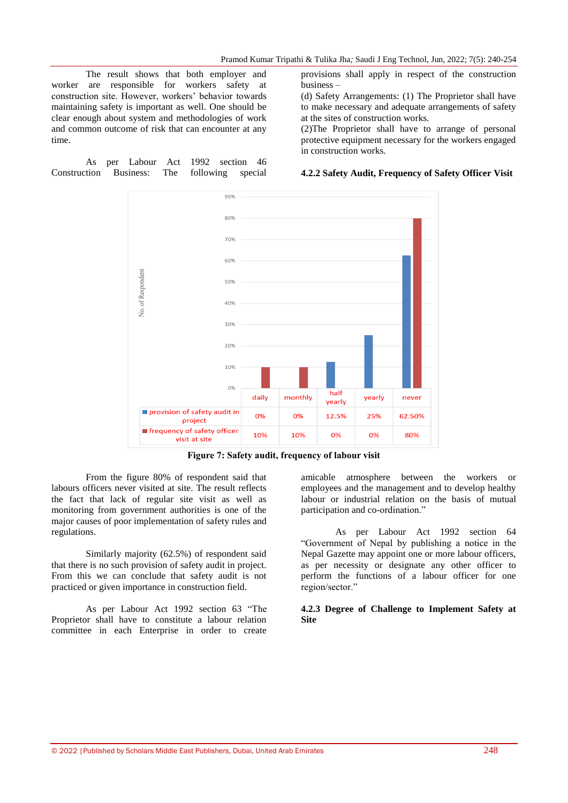The result shows that both employer and worker are responsible for workers safety at construction site. However, workers' behavior towards maintaining safety is important as well. One should be clear enough about system and methodologies of work and common outcome of risk that can encounter at any time.

### As per Labour Act 1992 section 46 Construction Business: The following special

provisions shall apply in respect of the construction business –

(d) Safety Arrangements: (1) The Proprietor shall have to make necessary and adequate arrangements of safety at the sites of construction works.

(2)The Proprietor shall have to arrange of personal protective equipment necessary for the workers engaged in construction works.

### **4.2.2 Safety Audit, Frequency of Safety Officer Visit**



**Figure 7: Safety audit, frequency of labour visit**

From the figure 80% of respondent said that labours officers never visited at site. The result reflects the fact that lack of regular site visit as well as monitoring from government authorities is one of the major causes of poor implementation of safety rules and regulations.

Similarly majority (62.5%) of respondent said that there is no such provision of safety audit in project. From this we can conclude that safety audit is not practiced or given importance in construction field.

As per Labour Act 1992 section 63 "The Proprietor shall have to constitute a labour relation committee in each Enterprise in order to create amicable atmosphere between the workers or employees and the management and to develop healthy labour or industrial relation on the basis of mutual participation and co-ordination."

As per Labour Act 1992 section 64 "Government of Nepal by publishing a notice in the Nepal Gazette may appoint one or more labour officers, as per necessity or designate any other officer to perform the functions of a labour officer for one region/sector."

### **4.2.3 Degree of Challenge to Implement Safety at Site**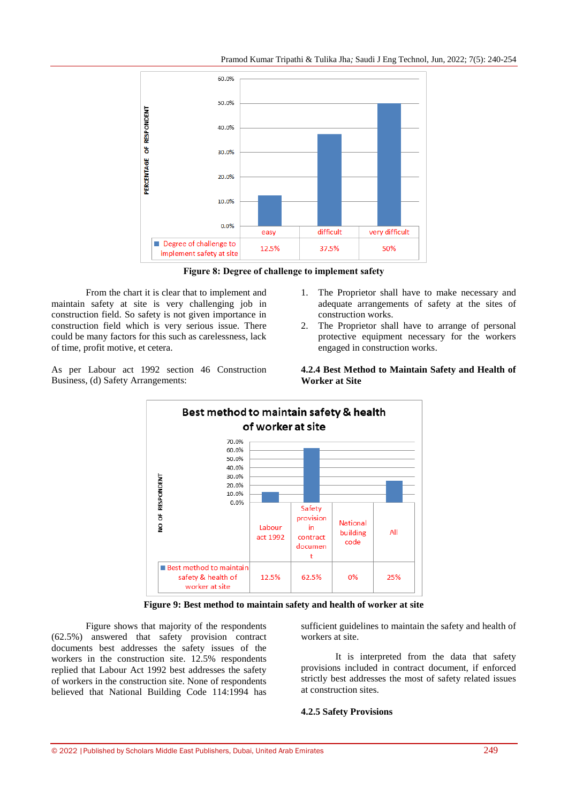

**Figure 8: Degree of challenge to implement safety**

From the chart it is clear that to implement and maintain safety at site is very challenging job in construction field. So safety is not given importance in construction field which is very serious issue. There could be many factors for this such as carelessness, lack of time, profit motive, et cetera.

As per Labour act 1992 section 46 Construction Business, (d) Safety Arrangements:

1. The Proprietor shall have to make necessary and adequate arrangements of safety at the sites of construction works.

2. The Proprietor shall have to arrange of personal protective equipment necessary for the workers engaged in construction works.



**4.2.4 Best Method to Maintain Safety and Health of Worker at Site**

**Figure 9: Best method to maintain safety and health of worker at site**

Figure shows that majority of the respondents (62.5%) answered that safety provision contract documents best addresses the safety issues of the workers in the construction site. 12.5% respondents replied that Labour Act 1992 best addresses the safety of workers in the construction site. None of respondents believed that National Building Code 114:1994 has

sufficient guidelines to maintain the safety and health of workers at site.

It is interpreted from the data that safety provisions included in contract document, if enforced strictly best addresses the most of safety related issues at construction sites.

### **4.2.5 Safety Provisions**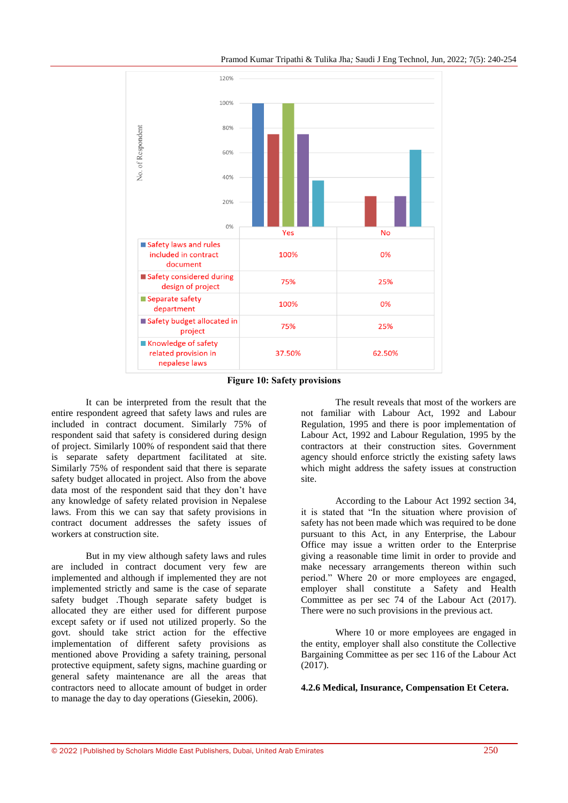



**Figure 10: Safety provisions**

It can be interpreted from the result that the entire respondent agreed that safety laws and rules are included in contract document. Similarly 75% of respondent said that safety is considered during design of project. Similarly 100% of respondent said that there is separate safety department facilitated at site. Similarly 75% of respondent said that there is separate safety budget allocated in project. Also from the above data most of the respondent said that they don't have any knowledge of safety related provision in Nepalese laws. From this we can say that safety provisions in contract document addresses the safety issues of workers at construction site.

But in my view although safety laws and rules are included in contract document very few are implemented and although if implemented they are not implemented strictly and same is the case of separate safety budget .Though separate safety budget is allocated they are either used for different purpose except safety or if used not utilized properly. So the govt. should take strict action for the effective implementation of different safety provisions as mentioned above Providing a safety training, personal protective equipment, safety signs, machine guarding or general safety maintenance are all the areas that contractors need to allocate amount of budget in order to manage the day to day operations (Giesekin, 2006).

The result reveals that most of the workers are not familiar with Labour Act, 1992 and Labour Regulation, 1995 and there is poor implementation of Labour Act, 1992 and Labour Regulation, 1995 by the contractors at their construction sites. Government agency should enforce strictly the existing safety laws which might address the safety issues at construction site.

According to the Labour Act 1992 section 34, it is stated that "In the situation where provision of safety has not been made which was required to be done pursuant to this Act, in any Enterprise, the Labour Office may issue a written order to the Enterprise giving a reasonable time limit in order to provide and make necessary arrangements thereon within such period." Where 20 or more employees are engaged, employer shall constitute a Safety and Health Committee as per sec 74 of the Labour Act (2017). There were no such provisions in the previous act.

Where 10 or more employees are engaged in the entity, employer shall also constitute the Collective Bargaining Committee as per sec 116 of the Labour Act  $(2017).$ 

**4.2.6 Medical, Insurance, Compensation Et Cetera.**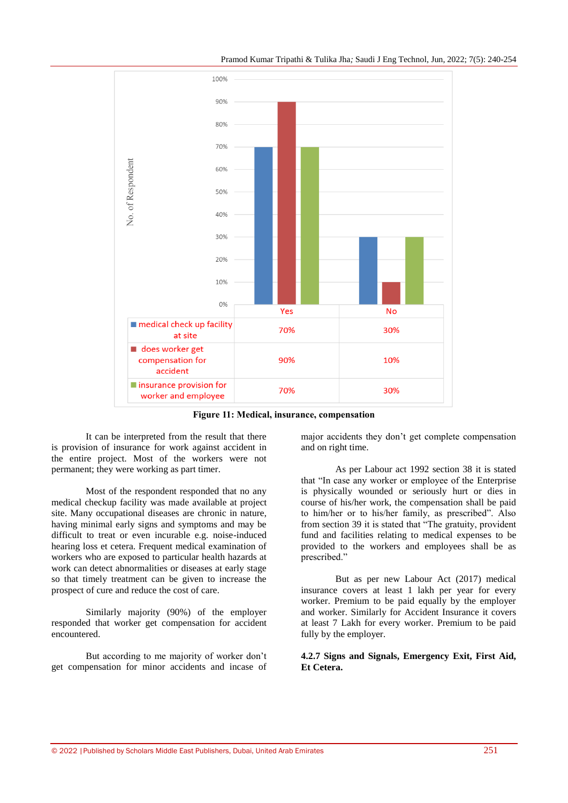



**Figure 11: Medical, insurance, compensation**

It can be interpreted from the result that there is provision of insurance for work against accident in the entire project. Most of the workers were not permanent; they were working as part timer.

Most of the respondent responded that no any medical checkup facility was made available at project site. Many occupational diseases are chronic in nature, having minimal early signs and symptoms and may be difficult to treat or even incurable e.g. noise-induced hearing loss et cetera. Frequent medical examination of workers who are exposed to particular health hazards at work can detect abnormalities or diseases at early stage so that timely treatment can be given to increase the prospect of cure and reduce the cost of care.

Similarly majority (90%) of the employer responded that worker get compensation for accident encountered.

But according to me majority of worker don't get compensation for minor accidents and incase of major accidents they don't get complete compensation and on right time.

As per Labour act 1992 section 38 it is stated that "In case any worker or employee of the Enterprise is physically wounded or seriously hurt or dies in course of his/her work, the compensation shall be paid to him/her or to his/her family, as prescribed". Also from section 39 it is stated that "The gratuity, provident fund and facilities relating to medical expenses to be provided to the workers and employees shall be as prescribed."

But as per new Labour Act (2017) medical insurance covers at least 1 lakh per year for every worker. Premium to be paid equally by the employer and worker. Similarly for Accident Insurance it covers at least 7 Lakh for every worker. Premium to be paid fully by the employer.

# **4.2.7 Signs and Signals, Emergency Exit, First Aid, Et Cetera.**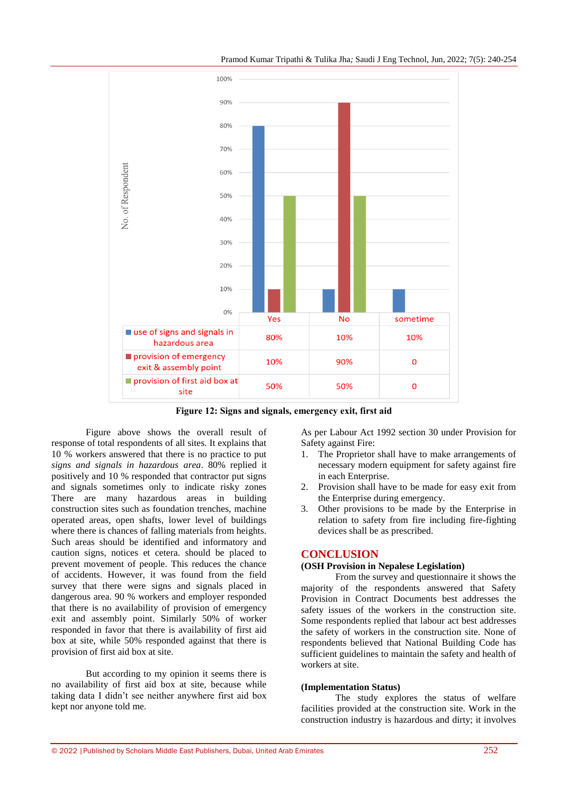



**Figure 12: Signs and signals, emergency exit, first aid**

Figure above shows the overall result of response of total respondents of all sites. It explains that 10 % workers answered that there is no practice to put *signs and signals in hazardous area*. 80% replied it positively and 10 % responded that contractor put signs and signals sometimes only to indicate risky zones There are many hazardous areas in building construction sites such as foundation trenches, machine operated areas, open shafts, lower level of buildings where there is chances of falling materials from heights. Such areas should be identified and informatory and caution signs, notices et cetera. should be placed to prevent movement of people. This reduces the chance of accidents. However, it was found from the field survey that there were signs and signals placed in dangerous area. 90 % workers and employer responded that there is no availability of provision of emergency exit and assembly point. Similarly 50% of worker responded in favor that there is availability of first aid box at site, while 50% responded against that there is provision of first aid box at site.

But according to my opinion it seems there is no availability of first aid box at site, because while taking data I didn't see neither anywhere first aid box kept nor anyone told me.

As per Labour Act 1992 section 30 under Provision for Safety against Fire:

- 1. The Proprietor shall have to make arrangements of necessary modern equipment for safety against fire in each Enterprise.
- 2. Provision shall have to be made for easy exit from the Enterprise during emergency.
- 3. Other provisions to be made by the Enterprise in relation to safety from fire including fire-fighting devices shall be as prescribed.

## **CONCLUSION**

## **(OSH Provision in Nepalese Legislation)**

From the survey and questionnaire it shows the majority of the respondents answered that Safety Provision in Contract Documents best addresses the safety issues of the workers in the construction site. Some respondents replied that labour act best addresses the safety of workers in the construction site. None of respondents believed that National Building Code has sufficient guidelines to maintain the safety and health of workers at site.

## **(Implementation Status)**

The study explores the status of welfare facilities provided at the construction site. Work in the construction industry is hazardous and dirty; it involves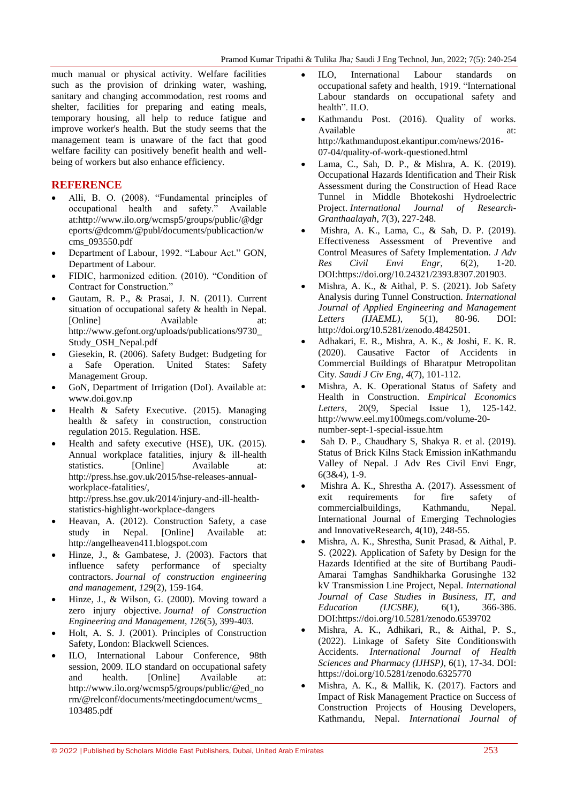much manual or physical activity. Welfare facilities such as the provision of drinking water, washing, sanitary and changing accommodation, rest rooms and shelter, facilities for preparing and eating meals, temporary housing, all help to reduce fatigue and improve worker's health. But the study seems that the management team is unaware of the fact that good welfare facility can positively benefit health and wellbeing of workers but also enhance efficiency.

# **REFERENCE**

- Alli, B. O. (2008). "Fundamental principles of occupational health and safety." Available at:http://www.ilo.org/wcmsp5/groups/public/@dgr eports/@dcomm/@publ/documents/publicaction/w cms\_093550.pdf
- Department of Labour, 1992. "Labour Act." GON*,*  Department of Labour.
- FIDIC, harmonized edition. (2010). "Condition of Contract for Construction."
- Gautam, R. P., & Prasai, J. N. (2011)*.* Current situation of occupational safety & health in Nepal*.*  [Online] Available at: http://www.gefont.org/uploads/publications/9730\_ Study\_OSH\_Nepal.pdf
- Giesekin, R. (2006). Safety Budget: Budgeting for a Safe Operation. United States: Safety Management Group.
- GoN, Department of Irrigation (DoI). Available at: www.doi.gov.np
- Health & Safety Executive. (2015). Managing health & safety in construction, construction regulation 2015. Regulation. HSE.
- Health and safety executive (HSE), UK. (2015). Annual workplace fatalities, injury & ill-health statistics. [Online] Available at: [http://press.hse.gov.uk/2015/hse-releases-annual](http://press.hse.gov.uk/2015/hse-releases-annual-workplace-fatalities/)[workplace-fatalities/,](http://press.hse.gov.uk/2015/hse-releases-annual-workplace-fatalities/) http://press.hse.gov.uk/2014/injury-and-ill-healthstatistics-highlight-workplace-dangers
- Heavan, A. (2012). Construction Safety, a case study in Nepal. [Online] Available at: http://angelheaven411.blogspot.com
- Hinze, J., & Gambatese, J. (2003). Factors that influence safety performance of specialty contractors. *Journal of construction engineering and management*, *129*(2), 159-164.
- Hinze, J., & Wilson, G. (2000). Moving toward a zero injury objective. *Journal of Construction Engineering and Management*, *126*(5), 399-403.
- Holt, A. S. J. (2001). Principles of Construction Safety, London: Blackwell Sciences.
- ILO, International Labour Conference, 98th session, 2009. ILO standard on occupational safety and health. [Online] Available at: http://www.ilo.org/wcmsp5/groups/public/@ed\_no rm/@relconf/documents/meetingdocument/wcms\_ 103485.pdf
- ILO, International Labour standards on occupational safety and health, 1919. "International Labour standards on occupational safety and health". ILO.
- Kathmandu Post. (2016). Quality of works*.* Available at: at: http://kathmandupost.ekantipur.com/news/2016- 07-04/quality-of-work-questioned.html
- Lama, C., Sah, D. P., & Mishra, A. K. (2019). Occupational Hazards Identification and Their Risk Assessment during the Construction of Head Race Tunnel in Middle Bhotekoshi Hydroelectric Project. *International Journal of Research-Granthaalayah*, *7*(3), 227-248.
- Mishra, A. K., Lama, C., & Sah, D. P. (2019). Effectiveness Assessment of Preventive and Control Measures of Safety Implementation. *J Adv Res Civil Envi Engr*, 6(2), 1-20. DOI:https://doi.org/10.24321/2393.8307.201903.
- Mishra, A. K., & Aithal, P. S. (2021). Job Safety Analysis during Tunnel Construction. *International Journal of Applied Engineering and Management Letters (IJAEML)*, 5(1), 80-96. DOI: [http://doi.org/10.5281/zenodo.4842501.](http://doi.org/10.5281/zenodo.4842501)
- Adhakari, E. R., Mishra, A. K., & Joshi, E. K. R. (2020). Causative Factor of Accidents in Commercial Buildings of Bharatpur Metropolitan City. *Saudi J Civ Eng*, *4*(7), 101-112.
- Mishra, A. K. Operational Status of Safety and Health in Construction. *Empirical Economics Letters*, 20(9, Special Issue [http://www.eel.my100megs.com/volume-20](http://www.eel.my100megs.com/volume-20-number-sept-1-special-issue.htm) [number-sept-1-special-issue.htm](http://www.eel.my100megs.com/volume-20-number-sept-1-special-issue.htm)
- Sah D. P., Chaudhary S, Shakya R. et al. (2019). Status of Brick Kilns Stack Emission inKathmandu Valley of Nepal. J Adv Res Civil Envi Engr, 6(3&4), 1-9.
- Mishra A. K., Shrestha A. (2017). Assessment of exit requirements for fire safety of commercialbuildings, Kathmandu, Nepal. International Journal of Emerging Technologies and InnovativeResearch, 4(10), 248-55.
- Mishra, A. K., Shrestha, Sunit Prasad, & Aithal, P. S. (2022). Application of Safety by Design for the Hazards Identified at the site of Burtibang Paudi-Amarai Tamghas Sandhikharka Gorusinghe 132 kV Transmission Line Project, Nepal. *International Journal of Case Studies in Business, IT, and Education (IJCSBE)*, 6(1), 366-386. DOI:https://doi.org/10.5281/zenodo.6539702
- Mishra, A. K., Adhikari, R., & Aithal, P. S., (2022). Linkage of Safety Site Conditionswith Accidents. *International Journal of Health Sciences and Pharmacy (IJHSP)*, 6(1), 17-34. DOI: https://doi.org/10.5281/zenodo.6325770
- Mishra, A. K., & Mallik, K. (2017). Factors and Impact of Risk Management Practice on Success of Construction Projects of Housing Developers, Kathmandu, Nepal. *International Journal of*